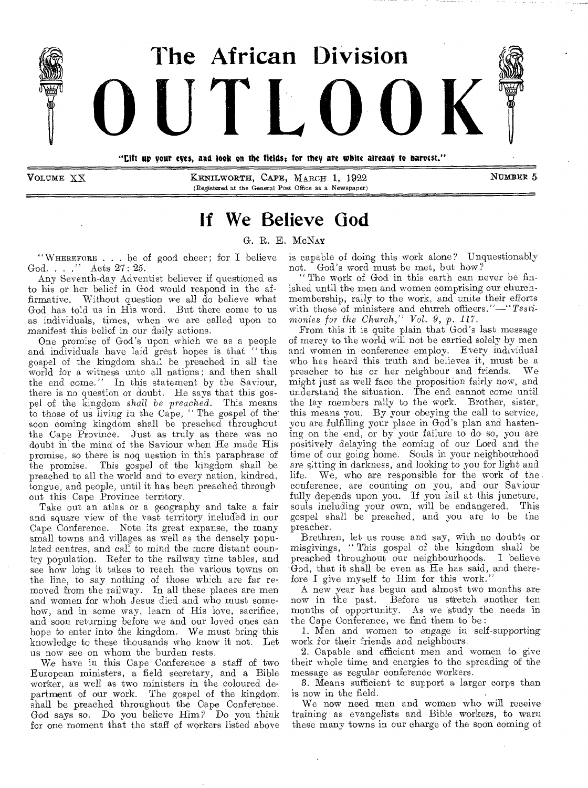

VOLUME XX **KENILWORTH, CAPE, MARCH 1, 1922** NUMBER 5. (Registered at the General Post Office as a Newspaper)

# **If We Believe God**

### G. R. E. MoNAv

"WHEREFORE . . . be of good cheer; for I believe God. . . ." Acts 27: 25.

Any Seventh-day Adventist believer if questioned as to his or her belief in God would respond in the affirmative. Without question we all do believe what God has told us in His word. But there come to us as individuals, times, when we are called upon to manifest this belief in our daily actions.

One promise of God's upon which we as a people and individuals have laid great hopes is that "this gospel of the kingdom shall be preached in all the world for a witness unto all nations; and then shall the end come." In this statement by the Saviour, there is no question or doubt. He says that this gospel of the kingdom *shall be preached.* This means to those of us living in the Cape, " The gospel of the' soon coming kingdom shall be preached throughout the Cape Province. Just as truly as there was no doubt in the mind of the Saviour when He made His promise, so there is noq uestion in this paraphrase of the promise. This gospel of the kingdom shall be preached to all the world and to every nation, kindred, tongue, and people, until it has been preached through out this Cape Province territory.

Take out an atlas or a geography and take a fair and square view of the vast territory included in our Cape Conference. Note its great expanse, the many small towns and villages as well as the densely populated centres, and call to mind the more distant country population. Refer to the railway time tables, and see how long it takes to reach the various towns on the line, to say nothing of those which are far removed from the railway. In all these places are men and women for whoh Jesus died and who must somehow, and in some way, learn of His love, sacrifice, and soon returning before we and our loved ones can hope to enter into the kingdom. *We* must bring this knowledge to these thousands who know it not. Let us now see on whom the burden rests.

We have in this Cape Conference a staff of two European ministers, a field secretary, and a Bible worker, as well as two ministers in the coloured department of our work. The gospel of the kingdom shall be preached throughout the Cape Conference. God says so. Do you believe Him? Do you think for one moment that the staff of workers listed above

is capable of doing this work alone? Unquestionably not. God's word must be met, but how ?

" The work of God in this earth can never be finished until the men and women comprising our churchmembership, rally to the work, and unite their efforts with those of ministers and church *officers."—"Testimonies for the Church," Vol. 9,* p. *117.* 

From this it is quite plain that God's last message of mercy to the world will not be carried solely by men and women in conference employ. Every individual who has heard this truth and believes it, must be a preacher to his or her neighbour and friends. We might just as well face the proposition fairly now, and understand the situation. The end cannot come until the lay members rally to the work. Brother, sister, this means you. By your obeying the call to service, you are fulfilling your place in God's plan and hastening on the end, or by your failure to do so, you are positively delaying the coming of our Lord and the time of our going home. Souls in your neighbourhood are sitting in darkness, and looking to you for light and life. We, who are responsible for the work of the conference, are counting on you, and our Saviour fully depends upon you. If you fail at this juncture, souls including your own, will be endangered. This gospel shall be preached, and you are to be the preacher.

Brethren, let us rouse and say, with no doubts or misgivings, " This gospel of the kingdom shall be preached throughout our neighbourhoods. I believe God, that it shall be even as He has said, and therefore I give myself to Him for this work.

A new year has begun and almost two months are now in the past. Before us stretch another ten months of opportunity. As we study the needs in the Cape Conference, we find them to be :

1. Men and women to engage in self-supporting work for their friends and neighbours.

2. Capable and efficient men and women to give their whole time and energies to the spreading of the message as regular conference workers.

3. Means sufficient to support a larger corps than is now in the field.

We now need men and women who will receive training as evangelists and Bible workers, to warn these many towns in our charge of the soon coming of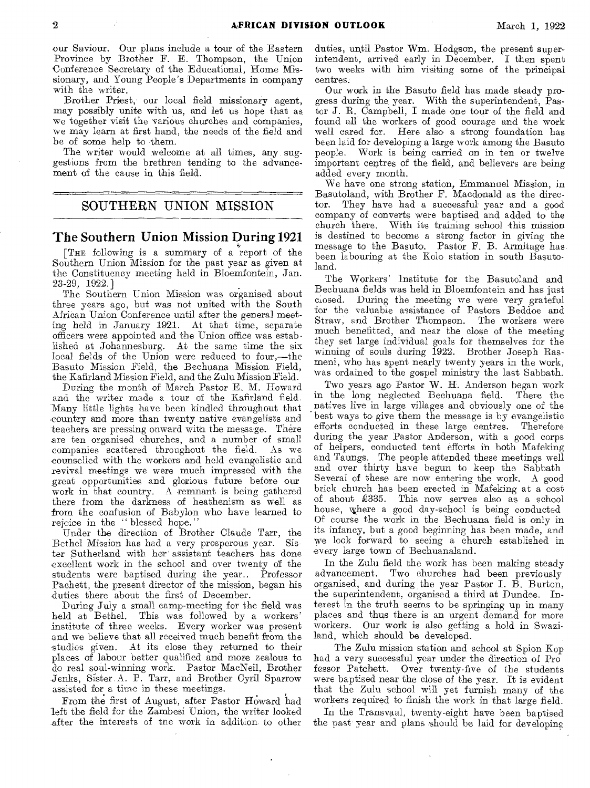our Saviour. Our plans include a tour of the Eastern Province by Brother F. E. Thompson, the Union Conference Secretary of the Educational, Home Missionary, and Young People's Departments in company with the writer.

Brother Priest, our local field missionary agent, may possibly unite with us, and let us hope that as we together visit the various churches and companies, we may learn at first hand, the needs of the field and be of some help to them.

The writer would welcome at all times, any suggestions from the brethren tending to the advancement of the cause in this field.

### SOUTHERN UNION MISSION

### The Southern Union Mission During 1921

[THE following is a summary of a report of the Southern Union Mission for the past year as given at the Constituency meeting held in Bloemfontein, Jan-23-29, 1922.]

The Southern Union Mission was organised about three years ago, but was not united with the South African Union Conference until after the general meeting held in January 1921. At that time, separate officers were appointed and the Union office was established at Johannesburg. At the same time the six local fields of the Union were reduced to four,—the Basuto Mission Field, the Bechuana Mission Field, the Kafirland Mission Field, and the Zulu Mission Field.

During the month of March Pastor E. M. Howard and the writer made a tour of the Kafirland field. Many little lights have been kindled throughout that country and more than twenty native evangelists and teachers are pressing onward with the message. There are ten organised churches, and a number of small companies scattered throughout the field. ,counselled with the workers and held evangelistic and revival meetings we were much impressed with the great opportunities and glorious future before our work in that country. A remnant is being gathered there from the darkness of heathenism as well as from the confusion of Babylon who have learned to rejoice in the "blessed hope."

Under the direction of Brother Claude Tarr, the Bethel Mission has had a very prosperous year. Sister Sutherland with her assistant teachers has done excellent work in the school and over twenty of the students were baptised during the year.. Professor Pachett, the present director of the mission, began his duties there about the first of December.

During July a small camp-meeting for the field was held at Bethel. This was followed by a workers' This was followed by a workers' institute of three weeks. Every worker was present and we believe that all received much benefit from the studies given. At its close they returned to their places of labour better qualified and more zealous to do real soul-winning work. Pastor MacNeil, Brother Jenks, Sister. A. P. Tarr, and Brother Cyril Sparrow assisted for a time in these meetings.

From the first of August, after Pastor Howard had left the field for the Zambesi Union, the writer looked after the interests of tne work in addition to other

duties, until Pastor Wm. Hodgson, the present superintendent, arrived early in December. I then spent two weeks with him visiting some of the principal centres.

Our work in the Basuto field has made steady progress during the year. With the superintendent, Pastor J. R. Campbell, I made one tour of the field and found all the workers of good courage and the work well cared for. Here also a strong foundation has been laid for developing a large work among the Basuto people. Work is being carried on in ten or twelve important centres of the field, and believers are being added every month.

We have one strong station, Emmanuel Mission, in Basutoland, with Brother F. Macdonald as the director. They have had a successful year and a good company of converts were baptised and added to the church there. With its training school this mission is destined to become a strong factor in giving the message to the Basuto. Pastor F. B. Armitage has been labouring at the Kolo station in south Basutoland.

The Workers' Institute for the Basutoland and Bechuana fields was held in Bloemfontein and has just closed. During the meeting we were very grateful for the valuable assistance of Pastors Beddoe and Straw, and Brother Thompson. The workers were much benefitted, and near the close of the meeting they set large individual goals for themselves for the winning of souls during 1922. Brother Joseph Rasmeni, who has spent nearly twenty years in the work, was ordained to the gospel ministry the last Sabbath.

Two years ago Pastor W. H. Anderson began work in the long neglected Bechuana field. There the natives live in large villages and obviously one of the 'best ways to give them the message is by evangelistic efforts conducted in these large centres. Therefore during the year Pastor Anderson, with a good corps of helpers, conducted tent efforts in both Mafeking and Taungs. The people attended these meetings well and over thirty have begun to keep the Sabbath Several of these are now entering the work. A good brick church has been erected in Mafeking at a cost of about £335. This now serves also as a school house, where a good day-school is being conducted Of course the work in the Bechuana field is only in its infancy, but a good beginning has been made, and we look forward to seeing a church established in every large town of Bechuanaland.

In the Zulu field the work has been making steady advancement. Two churches had been previously organised, and during the year Pastor I. B. Burton, the superintendent, organised a third at Dundee. Interest in the truth seems to be springing up in many places and thus there is an urgent demand for more workers. Our work is also getting a hold in Swaziland, which should be developed.

The Zulu mission station and school at Spion Kop had a very successful year under the direction of Pro fessor Patchett. Over twenty-five of the students were baptised near the close of the year. It is evident that the Zulu school will yet furnish many of the workers required to finish the work in that large field.

In the Transvaal, twenty-eight have been baptised the past year and plans should be laid for developing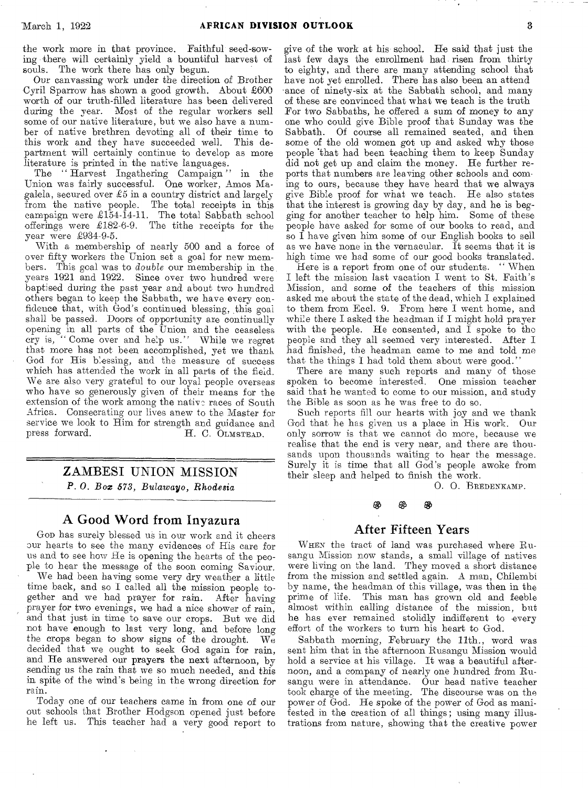the work more in that province. Faithful seed-sowing there will certainly yield a bountiful harvest of souls. The work there has only begun.

Our canvassing work under the direction *of* Brother Cyril Sparrow has shown a good growth. About £600 worth of our truth-filled literature has been delivered during the year. Most of the regular workers sell some of our native literature, but we also have a number of native brethren devoting all of their time to this work and they have succeeded well. This department will certainly continue to develop as more literature is printed in the native languages.

The " Harvest Ingathering Campaign " in the Union was fairly successful. One worker, Amos Magalela, secured over £5 in a country district and largely from the native people. The total receipts in this campaign were £154-14-11. The total Sabbath school offerings were £182-6-9. The tithe receipts for the year were £934-9-5.

With a membership of nearly 500 and a force of over fifty workers the Union set a goal for new members. This goal was to *double* our membership in the years 1921 and 1922. Since over two hundred were baptised during the past year and about two hundred others began to keep the Sabbath, we have every confidence that, with God's continued blessing, this goal shall be passed. Doors of opportunity are continually **opening in** all parts of the Union and the **ceaseless cry is, "** Come over and help us." While **we regret**  that more has not been accomplished, yet we thank God for His **blessing,** and the **measure** of success which has **attended the** work in all parts of **the field.**  We are **also very** grateful to our loyal people **overseas**  who have **so generously** given of their **means for the**  extension **of the work** among the nativo races of South Africa. Consecrating our lives anew to the Master for **service** we look to Him for strength and guidance and H. C. OLMSTEAD.

## ZAMBESI UNION MISSION *P. 0. Box* **573, Bulawayo,** *Rhodesia*

# A Good Word from Inyazura

GOD has surely blessed us in our work and it cheers our hearts to see **the** many evidences of His care for us and to see how **He** is opening the hearts of the people to hear the **message** of the soon coming Saviour.

We had been having some very dry weather a little time back, and so I called all the mission people together and we had prayer for rain. After having prayer for two evenings, **we had** a nice shower of rain, and that just in time to save our crops. But we did not have enough to last very **long, and** before long the crops began to show signs of the drought. We decided that we ought to seek God again for rain, and He answered our **prayers the next** afternoon, by sending us the rain that we so much needed, and this in spite of the wind's being in the wrong direction for rain.

Today one of our teachers came in from one of our out schools that Brother Hodgson opened just before he left us. This teacher had a very good report to

give of the work at his school. He said that just the last few days the enrollment had risen from thirty to eighty, and there are many attending school that have not yet enrolled. There has also been an attend ance of ninety-six at the Sabbath school, and many of these are convinced that what we teach is the truth For two Sabbaths, he offered a sum of money to any one who could give Bible proof that Sunday was the Of course all remained seated, and then some of the old women got up and asked why those people that had been teaching them to keep Sunday did not get up and claim the money. He further reports that numbers are leaving other schools and coming to ours, because they have heard that we always give Bible proof for what we teach. He also states that the interest is growing day by day, and he is begging for another teacher to help him. Some of these people have asked for some of our books to read, and so I have given him some of our English books to sell as we have none in the vernacular. It seems that it is high time we had some of our good books translated.

Here is a report from one of our students. "When I left the mission last vacation I went to St. Faith's Mission, and some of the teachers of this mission asked me about the state of the dead, which I explained to them from Eccl. 9. From here **I** went home, and while there I asked the headman if I might hold prayer with the people. He consented, and  $\tilde{I}$  spoke to the people and they all seemed very interested. After I had finished, the headman came to me and told me that the things I had told them about were good."

There are many such reports and many of those spoken to become interested. One mission teacher said that he wanted to come to our mission, and study the Bible **as** soon as he was free to do so.

Such **reports** fill our hearts with joy and we thank God that **he has** given **us a** place in His work. Our only sorrow is that **we cannot** do more, because we realise that the end **is very near,** and there are thousands upon thousands waiting to hear the message. Surely it is time that all God's people awoke from their sleep and helped to finish the work.

O. 0. BREDENKAMP.

#### ශී CS.

### After Fifteen Years

WHEN the tract of land was purchased where Rusangu Mission now stands, a small village of natives were living on the land. They moved a short distance **from** the mission and settled again. A man, Chilembi by name, the headman of this village, was then in the prime of life. This man has grown old and feeble almost within calling distance of the mission, but he has ever remained stolidly indifferent to every effort of the workers to turn his heart to God.

Sabbath morning, February the 11th., word was sent him that in the afternoon Rusangu Mission would hold a service at his village. It was a beautiful afternoon, and a company of nearly one hundred from Rusangu were in attendance. Our head native teacher took charge of the meeting. The discourse was on the power of God. He spoke of the power of God as manifested in the creation of all things; using many illustrations from nature, showing that the creative power